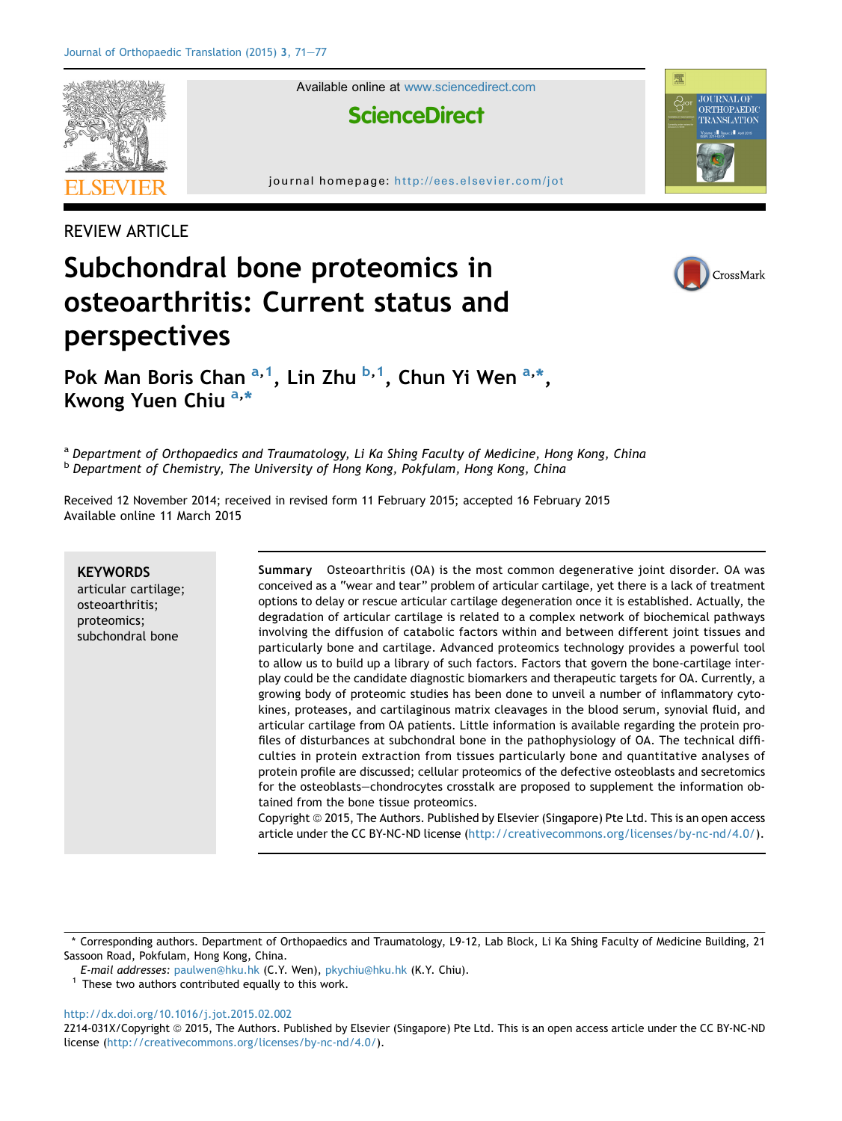

Available online at [www.sciencedirect.com](www.sciencedirect.com/science/journal/2214031X)



journal homepage: <http://ees.elsevier.com/jot>

**REVIEW ARTICLE** 





# Subchondral bone proteomics in osteoarthritis: Current status and perspectives

Pok Man Boris Chan <sup>a, 1</sup>, Lin Zhu <sup>b, 1</sup>, Chun Yi Wen <sup>a,\*</sup>, Kwong Yuen Chiu<sup>a,\*</sup>

<sup>a</sup> Department of Orthopaedics and Traumatology, Li Ka Shing Faculty of Medicine, Hong Kong, China **b** Department of Chemistry, The University of Hong Kong, Pokfulam, Hong Kong, China

Received 12 November 2014; received in revised form 11 February 2015; accepted 16 February 2015 Available online 11 March 2015

#### **KEYWORDS** articular cartilage; osteoarthritis; proteomics; subchondral bone Summary Osteoarthritis (OA) is the most common degenerative joint disorder. OA was conceived as a "wear and tear" problem of articular cartilage, yet there is a lack of treatment options to delay or rescue articular cartilage degeneration once it is established. Actually, the degradation of articular cartilage is related to a complex network of biochemical pathways involving the diffusion of catabolic factors within and between different joint tissues and particularly bone and cartilage. Advanced proteomics technology provides a powerful tool to allow us to build up a library of such factors. Factors that govern the bone-cartilage interplay could be the candidate diagnostic biomarkers and therapeutic targets for OA. Currently, a growing body of proteomic studies has been done to unveil a number of inflammatory cytokines, proteases, and cartilaginous matrix cleavages in the blood serum, synovial fluid, and articular cartilage from OA patients. Little information is available regarding the protein profiles of disturbances at subchondral bone in the pathophysiology of OA. The technical difficulties in protein extraction from tissues particularly bone and quantitative analyses of protein profile are discussed; cellular proteomics of the defective osteoblasts and secretomics for the osteoblasts-chondrocytes crosstalk are proposed to supplement the information obtained from the bone tissue proteomics. Copyright © 2015, The Authors. Published by Elsevier (Singapore) Pte Ltd. This is an open access article under the CC BY-NC-ND license ([http://creativecommons.org/licenses/by-nc-nd/4.0/\)](http://creativecommons.org/licenses/by-nc-nd/4.�0/).

E-mail addresses: [paulwen@hku.hk](mailto:paulwen@hku.hk) (C.Y. Wen), [pkychiu@hku.hk](mailto:pkychiu@hku.hk) (K.Y. Chiu).

 $1$  These two authors contributed equally to this work.

<http://dx.doi.org/10.1016/j.jot.2015.02.002>

2214-031X/Copyright © 2015, The Authors. Published by Elsevier (Singapore) Pte Ltd. This is an open access article under the CC BY-NC-ND license ([http://creativecommons.org/licenses/by-nc-nd/4.0/](http://creativecommons.org/licenses/by-nc-nd/4.�0/)).

<sup>\*</sup> Corresponding authors. Department of Orthopaedics and Traumatology, L9-12, Lab Block, Li Ka Shing Faculty of Medicine Building, 21 Sassoon Road, Pokfulam, Hong Kong, China.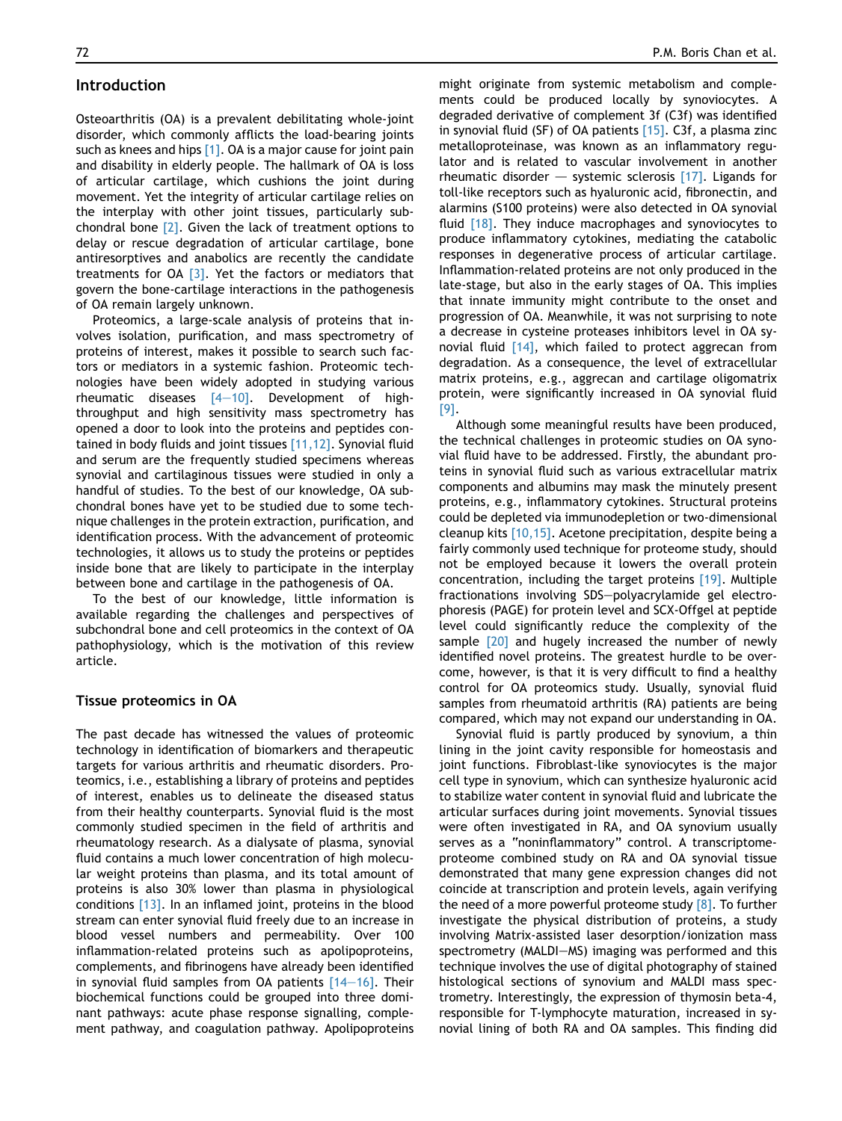#### Introduction

Osteoarthritis (OA) is a prevalent debilitating whole-joint disorder, which commonly afflicts the load-bearing joints such as knees and hips [\[1\].](#page-5-0) OA is a major cause for joint pain and disability in elderly people. The hallmark of OA is loss of articular cartilage, which cushions the joint during movement. Yet the integrity of articular cartilage relies on the interplay with other joint tissues, particularly subchondral bone [\[2\]](#page-5-0). Given the lack of treatment options to delay or rescue degradation of articular cartilage, bone antiresorptives and anabolics are recently the candidate treatments for  $OA [3]$  $OA [3]$ . Yet the factors or mediators that govern the bone-cartilage interactions in the pathogenesis of OA remain largely unknown.

Proteomics, a large-scale analysis of proteins that involves isolation, purification, and mass spectrometry of proteins of interest, makes it possible to search such factors or mediators in a systemic fashion. Proteomic technologies have been widely adopted in studying various rheumatic diseases  $[4-10]$  $[4-10]$  $[4-10]$ . Development of highthroughput and high sensitivity mass spectrometry has opened a door to look into the proteins and peptides contained in body fluids and joint tissues [\[11,12\]](#page-5-0). Synovial fluid and serum are the frequently studied specimens whereas synovial and cartilaginous tissues were studied in only a handful of studies. To the best of our knowledge, OA subchondral bones have yet to be studied due to some technique challenges in the protein extraction, purification, and identification process. With the advancement of proteomic technologies, it allows us to study the proteins or peptides inside bone that are likely to participate in the interplay between bone and cartilage in the pathogenesis of OA.

To the best of our knowledge, little information is available regarding the challenges and perspectives of subchondral bone and cell proteomics in the context of OA pathophysiology, which is the motivation of this review article.

#### Tissue proteomics in OA

The past decade has witnessed the values of proteomic technology in identification of biomarkers and therapeutic targets for various arthritis and rheumatic disorders. Proteomics, i.e., establishing a library of proteins and peptides of interest, enables us to delineate the diseased status from their healthy counterparts. Synovial fluid is the most commonly studied specimen in the field of arthritis and rheumatology research. As a dialysate of plasma, synovial fluid contains a much lower concentration of high molecular weight proteins than plasma, and its total amount of proteins is also 30% lower than plasma in physiological conditions [\[13\]](#page-5-0). In an inflamed joint, proteins in the blood stream can enter synovial fluid freely due to an increase in blood vessel numbers and permeability. Over 100 inflammation-related proteins such as apolipoproteins, complements, and fibrinogens have already been identified in synovial fluid samples from OA patients  $[14-16]$  $[14-16]$ . Their biochemical functions could be grouped into three dominant pathways: acute phase response signalling, complement pathway, and coagulation pathway. Apolipoproteins

might originate from systemic metabolism and complements could be produced locally by synoviocytes. A degraded derivative of complement 3f (C3f) was identified in synovial fluid (SF) of OA patients [\[15\]](#page-5-0). C3f, a plasma zinc metalloproteinase, was known as an inflammatory regulator and is related to vascular involvement in another rheumatic disorder  $-$  systemic sclerosis [\[17\]](#page-5-0). Ligands for toll-like receptors such as hyaluronic acid, fibronectin, and alarmins (S100 proteins) were also detected in OA synovial fluid  $[18]$ . They induce macrophages and synoviocytes to produce inflammatory cytokines, mediating the catabolic responses in degenerative process of articular cartilage. Inflammation-related proteins are not only produced in the late-stage, but also in the early stages of OA. This implies that innate immunity might contribute to the onset and progression of OA. Meanwhile, it was not surprising to note a decrease in cysteine proteases inhibitors level in OA synovial fluid [\[14\]](#page-5-0), which failed to protect aggrecan from degradation. As a consequence, the level of extracellular matrix proteins, e.g., aggrecan and cartilage oligomatrix protein, were significantly increased in OA synovial fluid  $[9]$ .

Although some meaningful results have been produced, the technical challenges in proteomic studies on OA synovial fluid have to be addressed. Firstly, the abundant proteins in synovial fluid such as various extracellular matrix components and albumins may mask the minutely present proteins, e.g., inflammatory cytokines. Structural proteins could be depleted via immunodepletion or two-dimensional cleanup kits [\[10,15\].](#page-5-0) Acetone precipitation, despite being a fairly commonly used technique for proteome study, should not be employed because it lowers the overall protein concentration, including the target proteins [\[19\].](#page-5-0) Multiple fractionations involving SDS-polyacrylamide gel electrophoresis (PAGE) for protein level and SCX-Offgel at peptide level could significantly reduce the complexity of the sample [\[20\]](#page-5-0) and hugely increased the number of newly identified novel proteins. The greatest hurdle to be overcome, however, is that it is very difficult to find a healthy control for OA proteomics study. Usually, synovial fluid samples from rheumatoid arthritis (RA) patients are being compared, which may not expand our understanding in OA.

Synovial fluid is partly produced by synovium, a thin lining in the joint cavity responsible for homeostasis and joint functions. Fibroblast-like synoviocytes is the major cell type in synovium, which can synthesize hyaluronic acid to stabilize water content in synovial fluid and lubricate the articular surfaces during joint movements. Synovial tissues were often investigated in RA, and OA synovium usually serves as a "noninflammatory" control. A transcriptomeproteome combined study on RA and OA synovial tissue demonstrated that many gene expression changes did not coincide at transcription and protein levels, again verifying the need of a more powerful proteome study  $[8]$ . To further investigate the physical distribution of proteins, a study involving Matrix-assisted laser desorption/ionization mass spectrometry (MALDI-MS) imaging was performed and this technique involves the use of digital photography of stained histological sections of synovium and MALDI mass spectrometry. Interestingly, the expression of thymosin beta-4, responsible for T-lymphocyte maturation, increased in synovial lining of both RA and OA samples. This finding did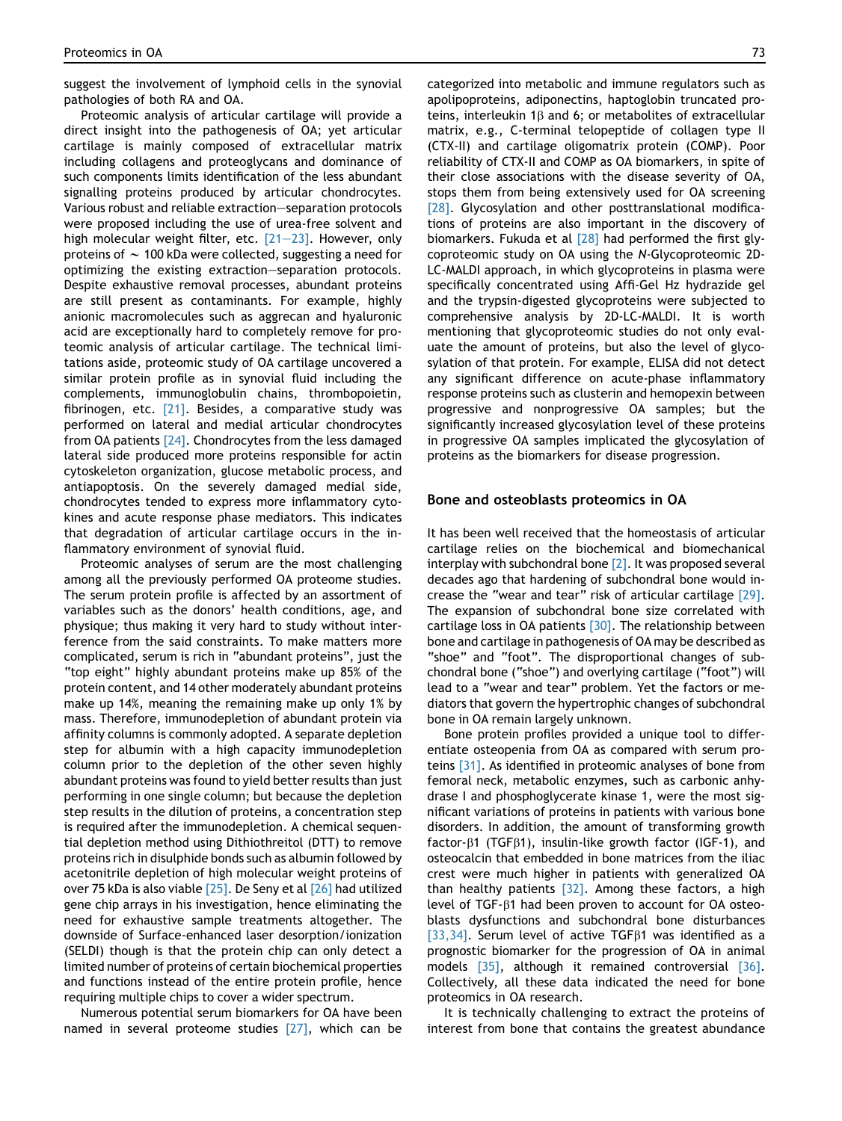suggest the involvement of lymphoid cells in the synovial pathologies of both RA and OA.

Proteomic analysis of articular cartilage will provide a direct insight into the pathogenesis of OA; yet articular cartilage is mainly composed of extracellular matrix including collagens and proteoglycans and dominance of such components limits identification of the less abundant signalling proteins produced by articular chondrocytes. Various robust and reliable extraction-separation protocols were proposed including the use of urea-free solvent and high molecular weight filter, etc.  $[21-23]$  $[21-23]$ . However, only proteins of  $\sim$  100 kDa were collected, suggesting a need for optimizing the existing extraction-separation protocols. Despite exhaustive removal processes, abundant proteins are still present as contaminants. For example, highly anionic macromolecules such as aggrecan and hyaluronic acid are exceptionally hard to completely remove for proteomic analysis of articular cartilage. The technical limitations aside, proteomic study of OA cartilage uncovered a similar protein profile as in synovial fluid including the complements, immunoglobulin chains, thrombopoietin, fibrinogen, etc. [\[21\]](#page-5-0). Besides, a comparative study was performed on lateral and medial articular chondrocytes from OA patients [\[24\]](#page-5-0). Chondrocytes from the less damaged lateral side produced more proteins responsible for actin cytoskeleton organization, glucose metabolic process, and antiapoptosis. On the severely damaged medial side, chondrocytes tended to express more inflammatory cytokines and acute response phase mediators. This indicates that degradation of articular cartilage occurs in the inflammatory environment of synovial fluid.

Proteomic analyses of serum are the most challenging among all the previously performed OA proteome studies. The serum protein profile is affected by an assortment of variables such as the donors' health conditions, age, and physique; thus making it very hard to study without interference from the said constraints. To make matters more complicated, serum is rich in "abundant proteins", just the "top eight" highly abundant proteins make up 85% of the protein content, and 14 other moderately abundant proteins make up 14%, meaning the remaining make up only 1% by mass. Therefore, immunodepletion of abundant protein via affinity columns is commonly adopted. A separate depletion step for albumin with a high capacity immunodepletion column prior to the depletion of the other seven highly abundant proteins was found to yield better results than just performing in one single column; but because the depletion step results in the dilution of proteins, a concentration step is required after the immunodepletion. A chemical sequential depletion method using Dithiothreitol (DTT) to remove proteins rich in disulphide bonds such as albumin followed by acetonitrile depletion of high molecular weight proteins of over 75 kDa is also viable [\[25\]](#page-5-0). De Seny et al [\[26\]](#page-5-0) had utilized gene chip arrays in his investigation, hence eliminating the need for exhaustive sample treatments altogether. The downside of Surface-enhanced laser desorption/ionization (SELDI) though is that the protein chip can only detect a limited number of proteins of certain biochemical properties and functions instead of the entire protein profile, hence requiring multiple chips to cover a wider spectrum.

Numerous potential serum biomarkers for OA have been named in several proteome studies [\[27\],](#page-5-0) which can be categorized into metabolic and immune regulators such as apolipoproteins, adiponectins, haptoglobin truncated proteins, interleukin 1 $\beta$  and 6; or metabolites of extracellular matrix, e.g., C-terminal telopeptide of collagen type II (CTX-II) and cartilage oligomatrix protein (COMP). Poor reliability of CTX-II and COMP as OA biomarkers, in spite of their close associations with the disease severity of OA, stops them from being extensively used for OA screening [\[28\]](#page-5-0). Glycosylation and other posttranslational modifications of proteins are also important in the discovery of biomarkers. Fukuda et al [\[28\]](#page-5-0) had performed the first glycoproteomic study on OA using the N-Glycoproteomic 2D-LC-MALDI approach, in which glycoproteins in plasma were specifically concentrated using Affi-Gel Hz hydrazide gel and the trypsin-digested glycoproteins were subjected to comprehensive analysis by 2D-LC-MALDI. It is worth mentioning that glycoproteomic studies do not only evaluate the amount of proteins, but also the level of glycosylation of that protein. For example, ELISA did not detect any significant difference on acute-phase inflammatory response proteins such as clusterin and hemopexin between progressive and nonprogressive OA samples; but the significantly increased glycosylation level of these proteins in progressive OA samples implicated the glycosylation of proteins as the biomarkers for disease progression.

#### Bone and osteoblasts proteomics in OA

It has been well received that the homeostasis of articular cartilage relies on the biochemical and biomechanical interplay with subchondral bone [\[2\].](#page-5-0) It was proposed several decades ago that hardening of subchondral bone would increase the "wear and tear" risk of articular cartilage [\[29\]](#page-5-0). The expansion of subchondral bone size correlated with cartilage loss in OA patients  $[30]$ . The relationship between bone and cartilage in pathogenesis of OA may be described as "shoe" and "foot". The disproportional changes of subchondral bone ("shoe") and overlying cartilage ("foot") will lead to a "wear and tear" problem. Yet the factors or mediators that govern the hypertrophic changes of subchondral bone in OA remain largely unknown.

Bone protein profiles provided a unique tool to differentiate osteopenia from OA as compared with serum proteins [\[31\]](#page-5-0). As identified in proteomic analyses of bone from femoral neck, metabolic enzymes, such as carbonic anhydrase I and phosphoglycerate kinase 1, were the most significant variations of proteins in patients with various bone disorders. In addition, the amount of transforming growth factor- $\beta$ 1 (TGF $\beta$ 1), insulin-like growth factor (IGF-1), and osteocalcin that embedded in bone matrices from the iliac crest were much higher in patients with generalized OA than healthy patients  $[32]$ . Among these factors, a high level of TGF-b1 had been proven to account for OA osteoblasts dysfunctions and subchondral bone disturbances [\[33,34\].](#page-5-0) Serum level of active TGF $\beta$ 1 was identified as a prognostic biomarker for the progression of OA in animal models [\[35\],](#page-6-0) although it remained controversial [\[36\]](#page-6-0). Collectively, all these data indicated the need for bone proteomics in OA research.

It is technically challenging to extract the proteins of interest from bone that contains the greatest abundance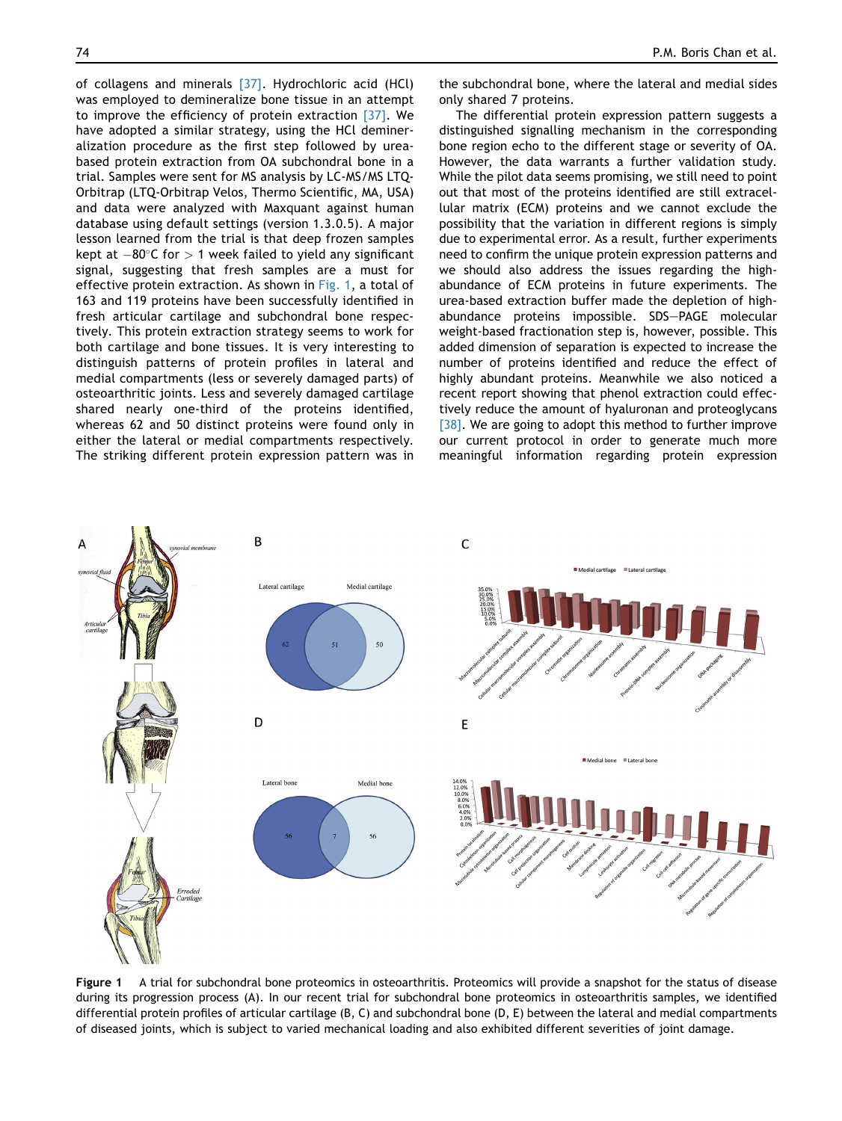of collagens and minerals [\[37\]](#page-6-0). Hydrochloric acid (HCl) was employed to demineralize bone tissue in an attempt to improve the efficiency of protein extraction [\[37\]](#page-6-0). We have adopted a similar strategy, using the HCl demineralization procedure as the first step followed by ureabased protein extraction from OA subchondral bone in a trial. Samples were sent for MS analysis by LC-MS/MS LTQ-Orbitrap (LTQ-Orbitrap Velos, Thermo Scientific, MA, USA) and data were analyzed with Maxquant against human database using default settings (version 1.3.0.5). A major lesson learned from the trial is that deep frozen samples kept at  $-80^{\circ}$ C for  $> 1$  week failed to yield any significant signal, suggesting that fresh samples are a must for effective protein extraction. As shown in Fig. 1, a total of 163 and 119 proteins have been successfully identified in fresh articular cartilage and subchondral bone respectively. This protein extraction strategy seems to work for both cartilage and bone tissues. It is very interesting to distinguish patterns of protein profiles in lateral and medial compartments (less or severely damaged parts) of osteoarthritic joints. Less and severely damaged cartilage shared nearly one-third of the proteins identified, whereas 62 and 50 distinct proteins were found only in either the lateral or medial compartments respectively. The striking different protein expression pattern was in the subchondral bone, where the lateral and medial sides only shared 7 proteins.

The differential protein expression pattern suggests a distinguished signalling mechanism in the corresponding bone region echo to the different stage or severity of OA. However, the data warrants a further validation study. While the pilot data seems promising, we still need to point out that most of the proteins identified are still extracellular matrix (ECM) proteins and we cannot exclude the possibility that the variation in different regions is simply due to experimental error. As a result, further experiments need to confirm the unique protein expression patterns and we should also address the issues regarding the highabundance of ECM proteins in future experiments. The urea-based extraction buffer made the depletion of highabundance proteins impossible. SDS-PAGE molecular weight-based fractionation step is, however, possible. This added dimension of separation is expected to increase the number of proteins identified and reduce the effect of highly abundant proteins. Meanwhile we also noticed a recent report showing that phenol extraction could effectively reduce the amount of hyaluronan and proteoglycans [\[38\].](#page-6-0) We are going to adopt this method to further improve our current protocol in order to generate much more meaningful information regarding protein expression



Figure 1 A trial for subchondral bone proteomics in osteoarthritis. Proteomics will provide a snapshot for the status of disease during its progression process (A). In our recent trial for subchondral bone proteomics in osteoarthritis samples, we identified differential protein profiles of articular cartilage (B, C) and subchondral bone (D, E) between the lateral and medial compartments of diseased joints, which is subject to varied mechanical loading and also exhibited different severities of joint damage.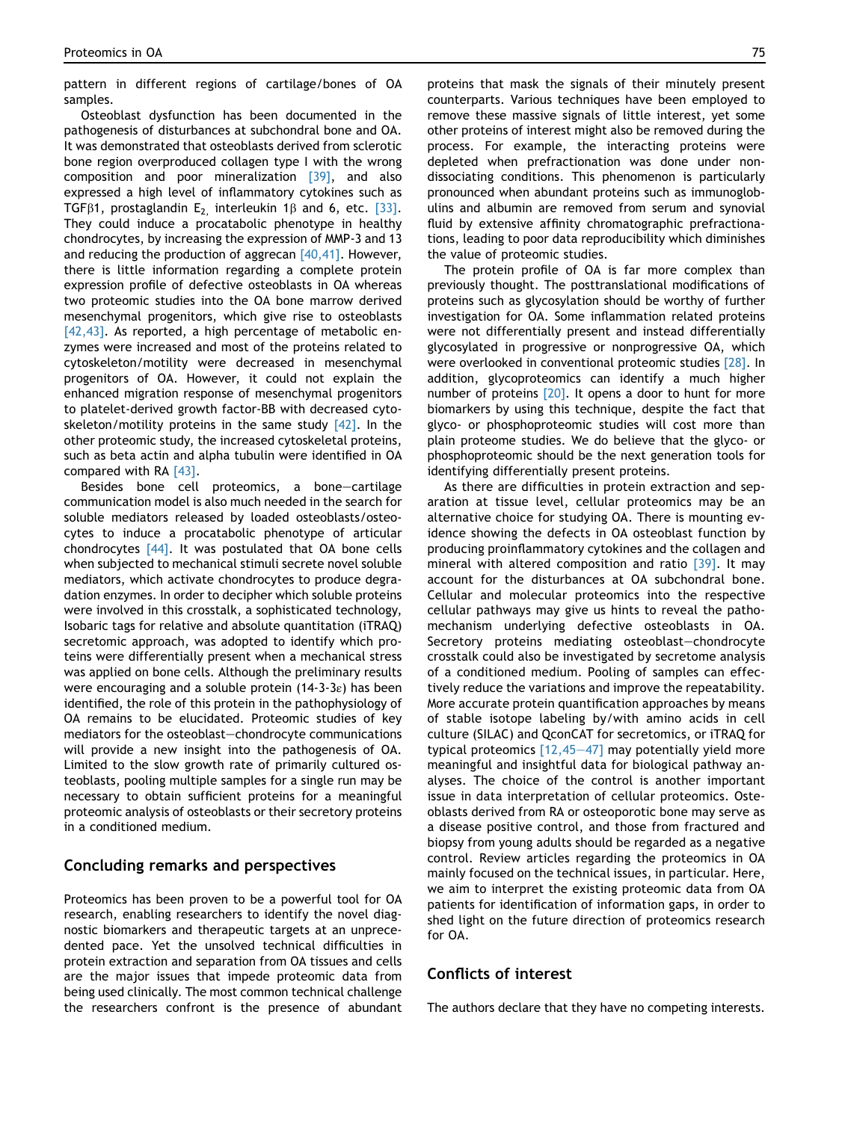pattern in different regions of cartilage/bones of OA samples.

Osteoblast dysfunction has been documented in the pathogenesis of disturbances at subchondral bone and OA. It was demonstrated that osteoblasts derived from sclerotic bone region overproduced collagen type I with the wrong composition and poor mineralization  $[39]$ , and also expressed a high level of inflammatory cytokines such as TGF $\beta$ 1, prostaglandin E<sub>2</sub> interleukin 1 $\beta$  and 6, etc. [\[33\]](#page-5-0). They could induce a procatabolic phenotype in healthy chondrocytes, by increasing the expression of MMP-3 and 13 and reducing the production of aggrecan  $[40, 41]$ . However, there is little information regarding a complete protein expression profile of defective osteoblasts in OA whereas two proteomic studies into the OA bone marrow derived mesenchymal progenitors, which give rise to osteoblasts [\[42,43\].](#page-6-0) As reported, a high percentage of metabolic enzymes were increased and most of the proteins related to cytoskeleton/motility were decreased in mesenchymal progenitors of OA. However, it could not explain the enhanced migration response of mesenchymal progenitors to platelet-derived growth factor-BB with decreased cytoskeleton/motility proteins in the same study  $[42]$ . In the other proteomic study, the increased cytoskeletal proteins, such as beta actin and alpha tubulin were identified in OA compared with RA [\[43\].](#page-6-0)

Besides bone cell proteomics, a bone-cartilage communication model is also much needed in the search for soluble mediators released by loaded osteoblasts/osteocytes to induce a procatabolic phenotype of articular chondrocytes  $[44]$ . It was postulated that OA bone cells when subjected to mechanical stimuli secrete novel soluble mediators, which activate chondrocytes to produce degradation enzymes. In order to decipher which soluble proteins were involved in this crosstalk, a sophisticated technology, Isobaric tags for relative and absolute quantitation (iTRAQ) secretomic approach, was adopted to identify which proteins were differentially present when a mechanical stress was applied on bone cells. Although the preliminary results were encouraging and a soluble protein (14-3-3 $\varepsilon$ ) has been identified, the role of this protein in the pathophysiology of OA remains to be elucidated. Proteomic studies of key mediators for the osteoblast-chondrocyte communications will provide a new insight into the pathogenesis of OA. Limited to the slow growth rate of primarily cultured osteoblasts, pooling multiple samples for a single run may be necessary to obtain sufficient proteins for a meaningful proteomic analysis of osteoblasts or their secretory proteins in a conditioned medium.

#### Concluding remarks and perspectives

Proteomics has been proven to be a powerful tool for OA research, enabling researchers to identify the novel diagnostic biomarkers and therapeutic targets at an unprecedented pace. Yet the unsolved technical difficulties in protein extraction and separation from OA tissues and cells are the major issues that impede proteomic data from being used clinically. The most common technical challenge the researchers confront is the presence of abundant proteins that mask the signals of their minutely present counterparts. Various techniques have been employed to remove these massive signals of little interest, yet some other proteins of interest might also be removed during the process. For example, the interacting proteins were depleted when prefractionation was done under nondissociating conditions. This phenomenon is particularly pronounced when abundant proteins such as immunoglobulins and albumin are removed from serum and synovial fluid by extensive affinity chromatographic prefractionations, leading to poor data reproducibility which diminishes the value of proteomic studies.

The protein profile of OA is far more complex than previously thought. The posttranslational modifications of proteins such as glycosylation should be worthy of further investigation for OA. Some inflammation related proteins were not differentially present and instead differentially glycosylated in progressive or nonprogressive OA, which were overlooked in conventional proteomic studies [\[28\]](#page-5-0). In addition, glycoproteomics can identify a much higher number of proteins [\[20\]](#page-5-0). It opens a door to hunt for more biomarkers by using this technique, despite the fact that glyco- or phosphoproteomic studies will cost more than plain proteome studies. We do believe that the glyco- or phosphoproteomic should be the next generation tools for identifying differentially present proteins.

As there are difficulties in protein extraction and separation at tissue level, cellular proteomics may be an alternative choice for studying OA. There is mounting evidence showing the defects in OA osteoblast function by producing proinflammatory cytokines and the collagen and mineral with altered composition and ratio  $\sqrt{39}$ . It may account for the disturbances at OA subchondral bone. Cellular and molecular proteomics into the respective cellular pathways may give us hints to reveal the pathomechanism underlying defective osteoblasts in OA. Secretory proteins mediating osteoblast-chondrocyte crosstalk could also be investigated by secretome analysis of a conditioned medium. Pooling of samples can effectively reduce the variations and improve the repeatability. More accurate protein quantification approaches by means of stable isotope labeling by/with amino acids in cell culture (SILAC) and QconCAT for secretomics, or iTRAQ for typical proteomics  $[12,45-47]$  $[12,45-47]$  $[12,45-47]$  may potentially yield more meaningful and insightful data for biological pathway analyses. The choice of the control is another important issue in data interpretation of cellular proteomics. Osteoblasts derived from RA or osteoporotic bone may serve as a disease positive control, and those from fractured and biopsy from young adults should be regarded as a negative control. Review articles regarding the proteomics in OA mainly focused on the technical issues, in particular. Here, we aim to interpret the existing proteomic data from OA patients for identification of information gaps, in order to shed light on the future direction of proteomics research for OA.

## Conflicts of interest

The authors declare that they have no competing interests.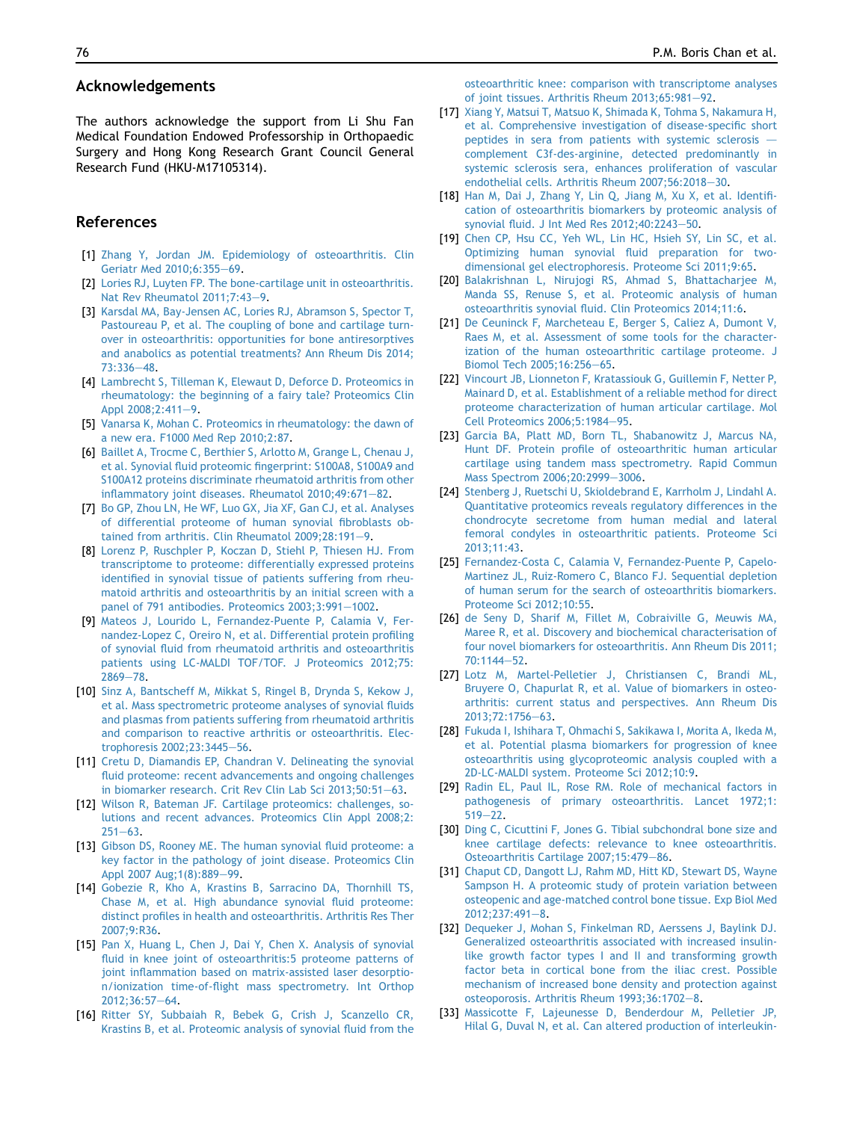### <span id="page-5-0"></span>Acknowledgements

The authors acknowledge the support from Li Shu Fan Medical Foundation Endowed Professorship in Orthopaedic Surgery and Hong Kong Research Grant Council General Research Fund (HKU-M17105314).

## References

- [1] [Zhang Y, Jordan JM. Epidemiology of osteoarthritis. Clin](http://refhub.elsevier.com/S2214-031X(15)00017-0/sref1) [Geriatr Med 2010;6:355](http://refhub.elsevier.com/S2214-031X(15)00017-0/sref1)-[69](http://refhub.elsevier.com/S2214-031X(15)00017-0/sref1).
- [2] [Lories RJ, Luyten FP. The bone-cartilage unit in osteoarthritis.](http://refhub.elsevier.com/S2214-031X(15)00017-0/sref2) [Nat Rev Rheumatol 2011;7:43](http://refhub.elsevier.com/S2214-031X(15)00017-0/sref2)-[9](http://refhub.elsevier.com/S2214-031X(15)00017-0/sref2).
- [3] [Karsdal MA, Bay-Jensen AC, Lories RJ, Abramson S, Spector T,](http://refhub.elsevier.com/S2214-031X(15)00017-0/sref3) [Pastoureau P, et al. The coupling of bone and cartilage turn](http://refhub.elsevier.com/S2214-031X(15)00017-0/sref3)[over in osteoarthritis: opportunities for bone antiresorptives](http://refhub.elsevier.com/S2214-031X(15)00017-0/sref3) [and anabolics as potential treatments? Ann Rheum Dis 2014;](http://refhub.elsevier.com/S2214-031X(15)00017-0/sref3)  $73.336 - 48$  $73.336 - 48$
- [4] Lambrecht S, Tilleman K, Elewaut D, Deforce D, Proteomics in [rheumatology: the beginning of a fairy tale? Proteomics Clin](http://refhub.elsevier.com/S2214-031X(15)00017-0/sref4) [Appl 2008;2:411](http://refhub.elsevier.com/S2214-031X(15)00017-0/sref4)-[9](http://refhub.elsevier.com/S2214-031X(15)00017-0/sref4).
- [5] [Vanarsa K, Mohan C. Proteomics in rheumatology: the dawn of](http://refhub.elsevier.com/S2214-031X(15)00017-0/sref5) [a new era. F1000 Med Rep 2010;2:87.](http://refhub.elsevier.com/S2214-031X(15)00017-0/sref5)
- [6] [Baillet A, Trocme C, Berthier S, Arlotto M, Grange L, Chenau J,](http://refhub.elsevier.com/S2214-031X(15)00017-0/sref6) [et al. Synovial fluid proteomic fingerprint: S100A8, S100A9 and](http://refhub.elsevier.com/S2214-031X(15)00017-0/sref6) [S100A12 proteins discriminate rheumatoid arthritis from other](http://refhub.elsevier.com/S2214-031X(15)00017-0/sref6) [inflammatory joint diseases. Rheumatol 2010;49:671](http://refhub.elsevier.com/S2214-031X(15)00017-0/sref6)-[82.](http://refhub.elsevier.com/S2214-031X(15)00017-0/sref6)
- [7] [Bo GP, Zhou LN, He WF, Luo GX, Jia XF, Gan CJ, et al. Analyses](http://refhub.elsevier.com/S2214-031X(15)00017-0/sref7) [of differential proteome of human synovial fibroblasts ob](http://refhub.elsevier.com/S2214-031X(15)00017-0/sref7)[tained from arthritis. Clin Rheumatol 2009;28:191](http://refhub.elsevier.com/S2214-031X(15)00017-0/sref7)-[9.](http://refhub.elsevier.com/S2214-031X(15)00017-0/sref7)
- [8] [Lorenz P, Ruschpler P, Koczan D, Stiehl P, Thiesen HJ. From](http://refhub.elsevier.com/S2214-031X(15)00017-0/sref8) [transcriptome to proteome: differentially expressed proteins](http://refhub.elsevier.com/S2214-031X(15)00017-0/sref8) [identified in synovial tissue of patients suffering from rheu](http://refhub.elsevier.com/S2214-031X(15)00017-0/sref8)[matoid arthritis and osteoarthritis by an initial screen with a](http://refhub.elsevier.com/S2214-031X(15)00017-0/sref8) [panel of 791 antibodies. Proteomics 2003;3:991](http://refhub.elsevier.com/S2214-031X(15)00017-0/sref8)-[1002](http://refhub.elsevier.com/S2214-031X(15)00017-0/sref8).
- [9] [Mateos J, Lourido L, Fernandez-Puente P, Calamia V, Fer](http://refhub.elsevier.com/S2214-031X(15)00017-0/sref9)[nandez-Lopez C, Oreiro N, et al. Differential protein profiling](http://refhub.elsevier.com/S2214-031X(15)00017-0/sref9) [of synovial fluid from rheumatoid arthritis and osteoarthritis](http://refhub.elsevier.com/S2214-031X(15)00017-0/sref9) [patients using LC-MALDI TOF/TOF. J Proteomics 2012;75:](http://refhub.elsevier.com/S2214-031X(15)00017-0/sref9) [2869](http://refhub.elsevier.com/S2214-031X(15)00017-0/sref9)e[78](http://refhub.elsevier.com/S2214-031X(15)00017-0/sref9).
- [10] [Sinz A, Bantscheff M, Mikkat S, Ringel B, Drynda S, Kekow J,](http://refhub.elsevier.com/S2214-031X(15)00017-0/sref10) [et al. Mass spectrometric proteome analyses of synovial fluids](http://refhub.elsevier.com/S2214-031X(15)00017-0/sref10) [and plasmas from patients suffering from rheumatoid arthritis](http://refhub.elsevier.com/S2214-031X(15)00017-0/sref10) [and comparison to reactive arthritis or osteoarthritis. Elec](http://refhub.elsevier.com/S2214-031X(15)00017-0/sref10)[trophoresis 2002;23:3445](http://refhub.elsevier.com/S2214-031X(15)00017-0/sref10)-[56.](http://refhub.elsevier.com/S2214-031X(15)00017-0/sref10)
- [11] [Cretu D, Diamandis EP, Chandran V. Delineating the synovial](http://refhub.elsevier.com/S2214-031X(15)00017-0/sref11) [fluid proteome: recent advancements and ongoing challenges](http://refhub.elsevier.com/S2214-031X(15)00017-0/sref11) [in biomarker research. Crit Rev Clin Lab Sci 2013;50:51](http://refhub.elsevier.com/S2214-031X(15)00017-0/sref11)-[63](http://refhub.elsevier.com/S2214-031X(15)00017-0/sref11).
- [12] [Wilson R, Bateman JF. Cartilage proteomics: challenges, so](http://refhub.elsevier.com/S2214-031X(15)00017-0/sref12)[lutions and recent advances. Proteomics Clin Appl 2008;2:](http://refhub.elsevier.com/S2214-031X(15)00017-0/sref12)  $251 - 63.$  $251 - 63.$  $251 - 63.$  $251 - 63.$
- [13] [Gibson DS, Rooney ME. The human synovial fluid proteome: a](http://refhub.elsevier.com/S2214-031X(15)00017-0/sref13) [key factor in the pathology of joint disease. Proteomics Clin](http://refhub.elsevier.com/S2214-031X(15)00017-0/sref13) Appl 2007 Aug; 1(8): 889-[99](http://refhub.elsevier.com/S2214-031X(15)00017-0/sref13).
- [14] [Gobezie R, Kho A, Krastins B, Sarracino DA, Thornhill TS,](http://refhub.elsevier.com/S2214-031X(15)00017-0/sref14) [Chase M, et al. High abundance synovial fluid proteome:](http://refhub.elsevier.com/S2214-031X(15)00017-0/sref14) [distinct profiles in health and osteoarthritis. Arthritis Res Ther](http://refhub.elsevier.com/S2214-031X(15)00017-0/sref14) [2007;9:R36](http://refhub.elsevier.com/S2214-031X(15)00017-0/sref14).
- [15] [Pan X, Huang L, Chen J, Dai Y, Chen X. Analysis of synovial](http://refhub.elsevier.com/S2214-031X(15)00017-0/sref15) [fluid in knee joint of osteoarthritis:5 proteome patterns of](http://refhub.elsevier.com/S2214-031X(15)00017-0/sref15) [joint inflammation based on matrix-assisted laser desorptio](http://refhub.elsevier.com/S2214-031X(15)00017-0/sref15)[n/ionization time-of-flight mass spectrometry. Int Orthop](http://refhub.elsevier.com/S2214-031X(15)00017-0/sref15) 2012:36:57-[64](http://refhub.elsevier.com/S2214-031X(15)00017-0/sref15).
- [16] [Ritter SY, Subbaiah R, Bebek G, Crish J, Scanzello CR,](http://refhub.elsevier.com/S2214-031X(15)00017-0/sref16) [Krastins B, et al. Proteomic analysis of synovial fluid from the](http://refhub.elsevier.com/S2214-031X(15)00017-0/sref16)

[osteoarthritic knee: comparison with transcriptome analyses](http://refhub.elsevier.com/S2214-031X(15)00017-0/sref16) [of joint tissues. Arthritis Rheum 2013;65:981](http://refhub.elsevier.com/S2214-031X(15)00017-0/sref16)-[92](http://refhub.elsevier.com/S2214-031X(15)00017-0/sref16).

- [17] [Xiang Y, Matsui T, Matsuo K, Shimada K, Tohma S, Nakamura H,](http://refhub.elsevier.com/S2214-031X(15)00017-0/sref17) [et al. Comprehensive investigation of disease-specific short](http://refhub.elsevier.com/S2214-031X(15)00017-0/sref17) [peptides in sera from patients with systemic sclerosis](http://refhub.elsevier.com/S2214-031X(15)00017-0/sref17)  $$ [complement C3f-des-arginine, detected predominantly in](http://refhub.elsevier.com/S2214-031X(15)00017-0/sref17) [systemic sclerosis sera, enhances proliferation of vascular](http://refhub.elsevier.com/S2214-031X(15)00017-0/sref17) [endothelial cells. Arthritis Rheum 2007;56:2018](http://refhub.elsevier.com/S2214-031X(15)00017-0/sref17)-[30](http://refhub.elsevier.com/S2214-031X(15)00017-0/sref17).
- [18] [Han M, Dai J, Zhang Y, Lin Q, Jiang M, Xu X, et al. Identifi](http://refhub.elsevier.com/S2214-031X(15)00017-0/sref18)[cation of osteoarthritis biomarkers by proteomic analysis of](http://refhub.elsevier.com/S2214-031X(15)00017-0/sref18) synovial fluid. J Int Med Res  $2012;40:2243-50$ .
- [19] [Chen CP, Hsu CC, Yeh WL, Lin HC, Hsieh SY, Lin SC, et al.](http://refhub.elsevier.com/S2214-031X(15)00017-0/sref19) [Optimizing human synovial fluid preparation for two](http://refhub.elsevier.com/S2214-031X(15)00017-0/sref19)[dimensional gel electrophoresis. Proteome Sci 2011;9:65.](http://refhub.elsevier.com/S2214-031X(15)00017-0/sref19)
- [20] [Balakrishnan L, Nirujogi RS, Ahmad S, Bhattacharjee M,](http://refhub.elsevier.com/S2214-031X(15)00017-0/sref20) [Manda SS, Renuse S, et al. Proteomic analysis of human](http://refhub.elsevier.com/S2214-031X(15)00017-0/sref20) [osteoarthritis synovial fluid. Clin Proteomics 2014;11:6.](http://refhub.elsevier.com/S2214-031X(15)00017-0/sref20)
- [21] [De Ceuninck F, Marcheteau E, Berger S, Caliez A, Dumont V,](http://refhub.elsevier.com/S2214-031X(15)00017-0/sref21) [Raes M, et al. Assessment of some tools for the character](http://refhub.elsevier.com/S2214-031X(15)00017-0/sref21)[ization of the human osteoarthritic cartilage proteome. J](http://refhub.elsevier.com/S2214-031X(15)00017-0/sref21) [Biomol Tech 2005;16:256](http://refhub.elsevier.com/S2214-031X(15)00017-0/sref21)-[65.](http://refhub.elsevier.com/S2214-031X(15)00017-0/sref21)
- [22] [Vincourt JB, Lionneton F, Kratassiouk G, Guillemin F, Netter P,](http://refhub.elsevier.com/S2214-031X(15)00017-0/sref22) [Mainard D, et al. Establishment of a reliable method for direct](http://refhub.elsevier.com/S2214-031X(15)00017-0/sref22) [proteome characterization of human articular cartilage. Mol](http://refhub.elsevier.com/S2214-031X(15)00017-0/sref22) [Cell Proteomics 2006;5:1984](http://refhub.elsevier.com/S2214-031X(15)00017-0/sref22)-[95.](http://refhub.elsevier.com/S2214-031X(15)00017-0/sref22)
- [23] [Garcia BA, Platt MD, Born TL, Shabanowitz J, Marcus NA,](http://refhub.elsevier.com/S2214-031X(15)00017-0/sref23) [Hunt DF. Protein profile of osteoarthritic human articular](http://refhub.elsevier.com/S2214-031X(15)00017-0/sref23) [cartilage using tandem mass spectrometry. Rapid Commun](http://refhub.elsevier.com/S2214-031X(15)00017-0/sref23) [Mass Spectrom 2006;20:2999](http://refhub.elsevier.com/S2214-031X(15)00017-0/sref23)-[3006.](http://refhub.elsevier.com/S2214-031X(15)00017-0/sref23)
- [24] [Stenberg J, Ruetschi U, Skioldebrand E, Karrholm J, Lindahl A.](http://refhub.elsevier.com/S2214-031X(15)00017-0/sref24) [Quantitative proteomics reveals regulatory differences in the](http://refhub.elsevier.com/S2214-031X(15)00017-0/sref24) [chondrocyte secretome from human medial and lateral](http://refhub.elsevier.com/S2214-031X(15)00017-0/sref24) [femoral condyles in osteoarthritic patients. Proteome Sci](http://refhub.elsevier.com/S2214-031X(15)00017-0/sref24) [2013;11:43.](http://refhub.elsevier.com/S2214-031X(15)00017-0/sref24)
- [25] [Fernandez-Costa C, Calamia V, Fernandez-Puente P, Capelo-](http://refhub.elsevier.com/S2214-031X(15)00017-0/sref25)[Martinez JL, Ruiz-Romero C, Blanco FJ. Sequential depletion](http://refhub.elsevier.com/S2214-031X(15)00017-0/sref25) [of human serum for the search of osteoarthritis biomarkers.](http://refhub.elsevier.com/S2214-031X(15)00017-0/sref25) [Proteome Sci 2012;10:55.](http://refhub.elsevier.com/S2214-031X(15)00017-0/sref25)
- [26] [de Seny D, Sharif M, Fillet M, Cobraiville G, Meuwis MA,](http://refhub.elsevier.com/S2214-031X(15)00017-0/sref26) [Maree R, et al. Discovery and biochemical characterisation of](http://refhub.elsevier.com/S2214-031X(15)00017-0/sref26) [four novel biomarkers for osteoarthritis. Ann Rheum Dis 2011;](http://refhub.elsevier.com/S2214-031X(15)00017-0/sref26) [70:1144](http://refhub.elsevier.com/S2214-031X(15)00017-0/sref26)-[52.](http://refhub.elsevier.com/S2214-031X(15)00017-0/sref26)
- [27] [Lotz M, Martel-Pelletier J, Christiansen C, Brandi ML,](http://refhub.elsevier.com/S2214-031X(15)00017-0/sref27) [Bruyere O, Chapurlat R, et al. Value of biomarkers in osteo](http://refhub.elsevier.com/S2214-031X(15)00017-0/sref27)[arthritis: current status and perspectives. Ann Rheum Dis](http://refhub.elsevier.com/S2214-031X(15)00017-0/sref27) [2013;72:1756](http://refhub.elsevier.com/S2214-031X(15)00017-0/sref27)-[63](http://refhub.elsevier.com/S2214-031X(15)00017-0/sref27).
- [28] [Fukuda I, Ishihara T, Ohmachi S, Sakikawa I, Morita A, Ikeda M,](http://refhub.elsevier.com/S2214-031X(15)00017-0/sref28) [et al. Potential plasma biomarkers for progression of knee](http://refhub.elsevier.com/S2214-031X(15)00017-0/sref28) [osteoarthritis using glycoproteomic analysis coupled with a](http://refhub.elsevier.com/S2214-031X(15)00017-0/sref28) [2D-LC-MALDI system. Proteome Sci 2012;10:9](http://refhub.elsevier.com/S2214-031X(15)00017-0/sref28).
- [29] [Radin EL, Paul IL, Rose RM. Role of mechanical factors in](http://refhub.elsevier.com/S2214-031X(15)00017-0/sref29) [pathogenesis of primary osteoarthritis. Lancet 1972;1:](http://refhub.elsevier.com/S2214-031X(15)00017-0/sref29)  $519 - 22$  $519 - 22$
- [30] [Ding C, Cicuttini F, Jones G. Tibial subchondral bone size and](http://refhub.elsevier.com/S2214-031X(15)00017-0/sref30) [knee cartilage defects: relevance to knee osteoarthritis.](http://refhub.elsevier.com/S2214-031X(15)00017-0/sref30) [Osteoarthritis Cartilage 2007;15:479](http://refhub.elsevier.com/S2214-031X(15)00017-0/sref30)-[86.](http://refhub.elsevier.com/S2214-031X(15)00017-0/sref30)
- [31] [Chaput CD, Dangott LJ, Rahm MD, Hitt KD, Stewart DS, Wayne](http://refhub.elsevier.com/S2214-031X(15)00017-0/sref31) [Sampson H. A proteomic study of protein variation between](http://refhub.elsevier.com/S2214-031X(15)00017-0/sref31) [osteopenic and age-matched control bone tissue. Exp Biol Med](http://refhub.elsevier.com/S2214-031X(15)00017-0/sref31) [2012;237:491](http://refhub.elsevier.com/S2214-031X(15)00017-0/sref31)-[8](http://refhub.elsevier.com/S2214-031X(15)00017-0/sref31).
- [32] [Dequeker J, Mohan S, Finkelman RD, Aerssens J, Baylink DJ.](http://refhub.elsevier.com/S2214-031X(15)00017-0/sref32) [Generalized osteoarthritis associated with increased insulin](http://refhub.elsevier.com/S2214-031X(15)00017-0/sref32)[like growth factor types I and II and transforming growth](http://refhub.elsevier.com/S2214-031X(15)00017-0/sref32) [factor beta in cortical bone from the iliac crest. Possible](http://refhub.elsevier.com/S2214-031X(15)00017-0/sref32) [mechanism of increased bone density and protection against](http://refhub.elsevier.com/S2214-031X(15)00017-0/sref32) [osteoporosis. Arthritis Rheum 1993;36:1702](http://refhub.elsevier.com/S2214-031X(15)00017-0/sref32)-[8.](http://refhub.elsevier.com/S2214-031X(15)00017-0/sref32)
- [33] [Massicotte F, Lajeunesse D, Benderdour M, Pelletier JP,](http://refhub.elsevier.com/S2214-031X(15)00017-0/sref33) [Hilal G, Duval N, et al. Can altered production of interleukin-](http://refhub.elsevier.com/S2214-031X(15)00017-0/sref33)